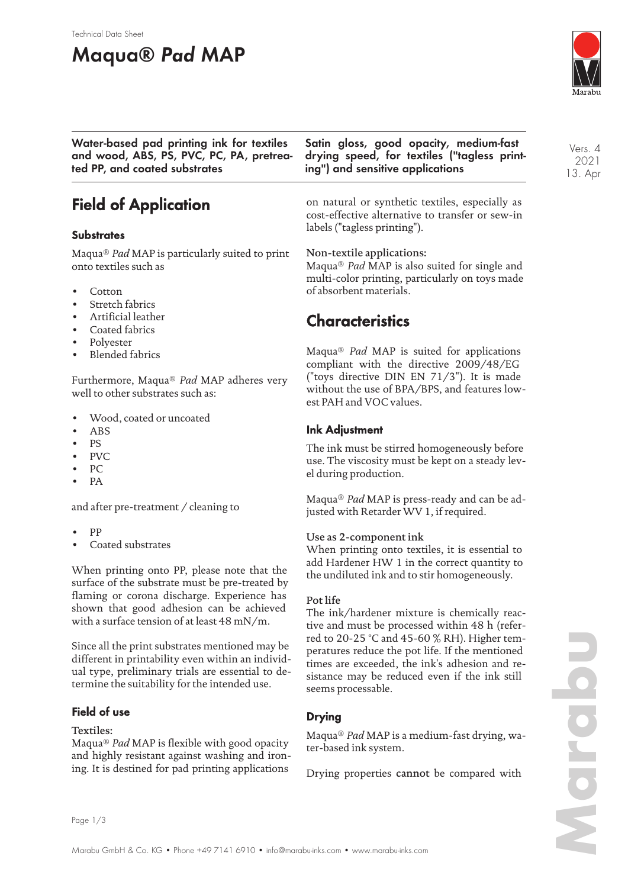### Technical Data Sheet

# **Maqua® Pad MAP**



Vers. 4 2021 13. Apr

**Water-based pad printing ink for textiles and wood, ABS, PS, PVC, PC, PA, pretreated PP, and coated substrates**

# **Field of Application**

## **Substrates**

Maqua® *Pad* MAP is particularly suited to print onto textiles such as

- Cotton
- Stretch fabrics
- Artificial leather
- Coated fabrics
- Polyester
- Blended fabrics

Furthermore, Maqua® *Pad* MAP adheres very well to other substrates such as:

- Wood, coated or uncoated
- ABS
- PS
- PVC
- PC
- PA

and after pre-treatment / cleaning to

- PP
- Coated substrates

When printing onto PP, please note that the surface of the substrate must be pre-treated by flaming or corona discharge. Experience has shown that good adhesion can be achieved with a surface tension of at least 48 mN/m.

Since all the print substrates mentioned may be different in printability even within an individual type, preliminary trials are essential to determine the suitability for the intended use.

## **Field of use**

Textiles:

Maqua® *Pad* MAP is flexible with good opacity and highly resistant against washing and ironing. It is destined for pad printing applications

**Satin gloss, good opacity, medium-fast drying speed, for textiles ("tagless printing") and sensitive applications**

on natural or synthetic textiles, especially as cost-effective alternative to transfer or sew-in labels ("tagless printing").

### Non-textile applications:

Maqua® *Pad* MAP is also suited for single and multi-color printing, particularly on toys made of absorbent materials.

# **Characteristics**

Maqua® *Pad* MAP is suited for applications compliant with the directive 2009/48/EG ("toys directive DIN EN 71/3"). It is made without the use of BPA/BPS, and features lowest PAH and VOC values.

## **Ink Adjustment**

The ink must be stirred homogeneously before use. The viscosity must be kept on a steady level during production.

Maqua® *Pad* MAP is press-ready and can be adjusted with Retarder WV 1, if required.

### Use as 2-component ink

When printing onto textiles, it is essential to add Hardener HW 1 in the correct quantity to the undiluted ink and to stir homogeneously.

### Pot life

The ink/hardener mixture is chemically reactive and must be processed within 48 h (referred to 20-25 °C and 45-60 % RH). Higher temperatures reduce the pot life. If the mentioned times are exceeded, the ink's adhesion and resistance may be reduced even if the ink still seems processable.

## **Drying**

Maqua® *Pad* MAP is a medium-fast drying, water-based ink system.

Drying properties cannot be compared with

Page 1/3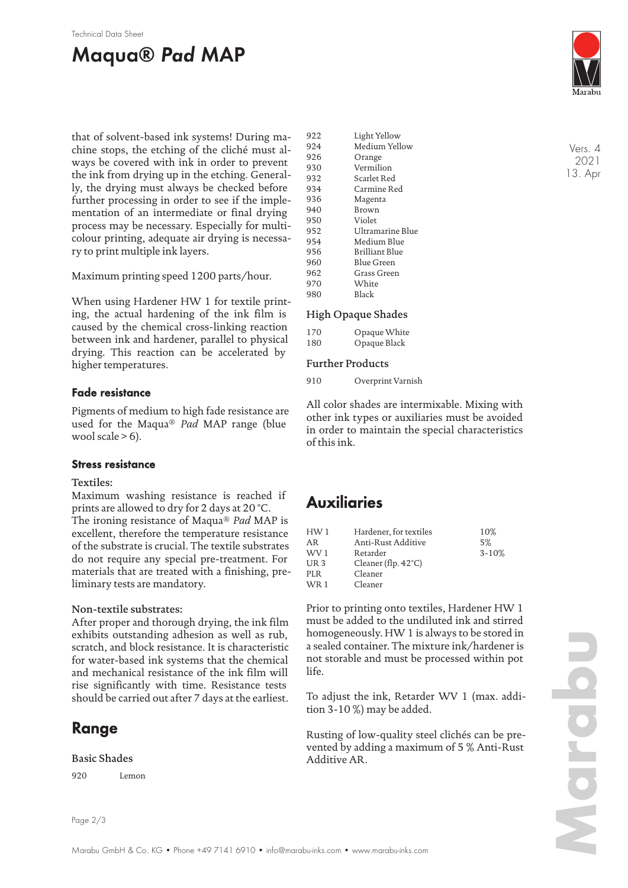#### Technical Data Sheet

# **Maqua® Pad MAP**



that of solvent-based ink systems! During machine stops, the etching of the cliché must always be covered with ink in order to prevent the ink from drying up in the etching. Generally, the drying must always be checked before further processing in order to see if the implementation of an intermediate or final drying process may be necessary. Especially for multicolour printing, adequate air drying is necessary to print multiple ink layers.

Maximum printing speed 1200 parts/hour.

When using Hardener HW 1 for textile printing, the actual hardening of the ink film is caused by the chemical cross-linking reaction between ink and hardener, parallel to physical drying. This reaction can be accelerated by higher temperatures.

### **Fade resistance**

Pigments of medium to high fade resistance are used for the Maqua® *Pad* MAP range (blue wool scale  $> 6$ ).

### **Stress resistance**

### Textiles:

Maximum washing resistance is reached if prints are allowed to dry for 2 days at 20 °C. The ironing resistance of Maqua® *Pad* MAP is excellent, therefore the temperature resistance of the substrate is crucial. The textile substrates do not require any special pre-treatment. For materials that are treated with a finishing, preliminary tests are mandatory.

### Non-textile substrates:

After proper and thorough drying, the ink film exhibits outstanding adhesion as well as rub, scratch, and block resistance. It is characteristic for water-based ink systems that the chemical and mechanical resistance of the ink film will rise significantly with time. Resistance tests should be carried out after 7 days at the earliest.

# **Range**

### Basic Shades

920 Lemon

922 Light Yellow 924 Medium Yellow 926 Orange 930 Vermilion<br>932 Scarlet Ree Scarlet Red 934 Carmine Red 936 Magenta 940 Brown 950 Violet 952 Ultramarine Blue 954 Medium Blue 956 Brilliant Blue 960 Blue Green<br>962 Grass Green Grass Green 970 White 980 Black

### High Opaque Shades

| 170 | Opaque White |
|-----|--------------|
| 180 | Opaque Black |

### Further Products

910 Overprint Varnish

All color shades are intermixable. Mixing with other ink types or auxiliaries must be avoided in order to maintain the special characteristics of this ink.

# **Auxiliaries**

| HW1             | Hardener, for textiles        | 10%       |
|-----------------|-------------------------------|-----------|
| AR              | Anti-Rust Additive            | 5%        |
| WV 1            | Retarder                      | $3 - 10%$ |
| UR <sub>3</sub> | Cleaner (flp. $42^{\circ}$ C) |           |
| PLR             | Cleaner                       |           |
| <b>WR1</b>      | Cleaner                       |           |
|                 |                               |           |

Prior to printing onto textiles, Hardener HW 1 must be added to the undiluted ink and stirred homogeneously. HW 1 is always to be stored in a sealed container. The mixture ink/hardener is not storable and must be processed within pot life.

To adjust the ink, Retarder WV 1 (max. addition 3-10 %) may be added.

Rusting of low-quality steel clichés can be prevented by adding a maximum of 5 % Anti-Rust Additive AR.

Vers. 4 2021 13. Apr

Page 2/3